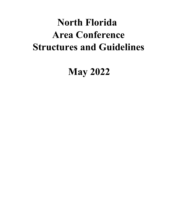# **North Florida Area Conference Structures and Guidelines**

**May 2022**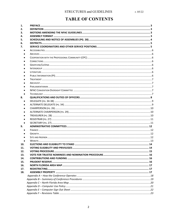## **TABLE OF CONTENTS**

| 1.  |                                   |  |
|-----|-----------------------------------|--|
| 2.  |                                   |  |
| З.  |                                   |  |
| 4.  |                                   |  |
| 5.  |                                   |  |
| 6.  |                                   |  |
| 7.  |                                   |  |
|     |                                   |  |
|     |                                   |  |
|     |                                   |  |
|     |                                   |  |
|     |                                   |  |
|     |                                   |  |
|     |                                   |  |
|     |                                   |  |
|     |                                   |  |
|     |                                   |  |
|     |                                   |  |
|     |                                   |  |
|     |                                   |  |
| 8.  |                                   |  |
|     |                                   |  |
|     |                                   |  |
|     |                                   |  |
|     |                                   |  |
|     |                                   |  |
|     |                                   |  |
|     |                                   |  |
| 9.  |                                   |  |
|     |                                   |  |
|     |                                   |  |
|     |                                   |  |
|     |                                   |  |
| 10. |                                   |  |
| 11. | VOTING FLIGIRILITY AND PRIVILEGES |  |
| 12. |                                   |  |
| 13. |                                   |  |
| 14. |                                   |  |
| 15. |                                   |  |
| 16. |                                   |  |
| 17. |                                   |  |
| 18. |                                   |  |
|     |                                   |  |
|     |                                   |  |
|     |                                   |  |
|     |                                   |  |
|     |                                   |  |
|     |                                   |  |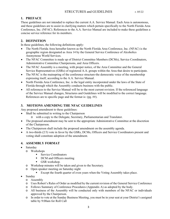#### <span id="page-2-0"></span>**1. PREFACE**

These guidelines are not intended to replace the current A.A. Service Manual. Each Area is autonomous, and these guidelines are to assist in clarifying matters which pertain specifically to the North Florida Area Conference, Inc. (NFAC). References to the A.A. Service Manual are included to make these guidelines a concise service reference for its members.

#### <span id="page-2-1"></span>**2. DEFINITION**

In these guidelines, the following definitions apply:

- The North Florida Area hereafter known as the North Florida Area Conference, Inc. (NFAC) is the geographic region designated as Area 14 by the General Service Conference of Alcoholics Anonymous World Services.
- The NFAC Committee is made up of District Committee Members (DCMs), Service Coordinators, Administrative Committee Chairpersons, and Area Officers.
- The NFAC Assembly is a meeting, with proper notice, of the Area Committee and the General Service Representatives (GSRs) of registered A.A. groups within the Area that desire to participate.
- The NFAC is the mainspring of the conference structure-the democratic voice of the membership expressing itself, according to the A.A. Service Manual.
- North Florida Area Conference, Inc. is the legal entity incorporated under the laws of the State of Florida through which the Assembly conducts business with the public.
- All references to the Service Manual will be to the most current revision. If the referenced language of the Service Manual changes, Structures and Guidelines will be modified to the correct language. References are to specific page and the format is: (pg. ##).

#### <span id="page-2-2"></span>**3. MOTIONS AMENDING THE NFAC GUIDELINES**

Any proposed amendment to these guidelines:

- Shall be submitted in writing to the Chairperson
	- o with a copy to the Delegate, Secretary, Parliamentarian and Translator.
- The proposed amendment may be sent to the appropriate Administrative Committee at the discretion of the Chairperson.
- The Chairperson shall include the proposed amendment on the assembly agenda.
- A two-thirds (2/3) vote in favor by the GSRs, DCMs, Officers and Service Coordinators present and voting shall constitute adoption of the amendment.

#### <span id="page-2-3"></span>**4. ASSEMBLY FORMAT**

- Saturday
	- o Workshops
		- Service Coordinators
		- DCM and Officers meeting
		- GSR workshop.
	- o Workshop minutes will be taken and given to the Secretary.
	- o Open speaker meeting on Saturday night
		- Except the fourth quarter of even years when the Voting Assembly takes place.
- Sunday
	- o Assembly
	- o Uses Robert's Rules of Order as modified by the current revision of the General Service Conference
	- o Follows Summary of Conference Procedures (Appendix A) as adopted by the body.
	- o All business of the Assembly will be conducted only with members of the NFAC or individuals approved by the Chairperson.
	- o In order to vote at the Sunday Business Meeting, you must be in your seat at your District's assigned table by 9:00am for Roll Call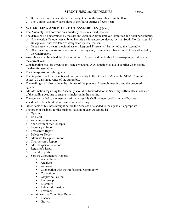- o Business not on the agenda can be brought before the Assembly from the floor.
- o The Voting Assembly takes place in the fourth quarter of even years

#### <span id="page-3-0"></span>**5. SCHEDULING AND NOTICE OF ASSEMBLIES (pg. 20)**

- The Assembly shall convene on a quarterly basis in a fixed location.
- The dates shall be determined by the Site and Agenda Administrative Committee and hotel per contract.
	- o Non election October Assemblies include an inventory conducted by the South Florida Area 15 Delegate or if not available as designated by Chairperson.
	- o Once every two years, the Southeastern Regional Trustee will be invited to the Assembly.
	- o Other meetings, sessions or committee meetings may be scheduled from time to time as decided by the Chairperson.
- Assemblies shall be scheduled for a minimum of a year and preferably for a two-year period beyond the current year.
- Consideration shall be given to any state or regional A.A. functions to avoid conflict when setting the date for assemblies.
- The Chairperson sets the agenda.
- The Registrar shall mail a notice of each Assembly to the GSRs, DCMs and the NFAC Committee, at least 30 days in advance of the Assembly.
- The mailing shall also include the minutes of the previous Assembly meeting and the proposed agenda.
- All information regarding the Assembly should be forwarded to the Secretary sufficiently in advance of the mailing deadline to ensure its inclusion in the mailing.
- The agenda mailed to the members of the Assembly shall include specific items of business scheduled to be submitted for discussion and voting.
- Other items of business brought before the Area shall be added to the agenda if appropriate.
- The order of business for the business session of each Assembly is:
	- o Opening
	- o Roll Call
	- o Anonymity Statement
	- o Short Form of the Concepts
	- o Secretary's Report
	- o Treasurer's Report
	- o Delegate's Report
	- o Alternate Delegate's Report
	- o Chairperson's Report
	- o Alt Chairperson's Report
	- o Registrar's Report
	- o Special Reports
	- o Service Coordinators' Reports
		- Accessibilities
		- Archives
		- Archivist
		- Cooperation with the Professional Community
		- Corrections
		- Grapevine/LaVina
		- Intergroup
		- Literature
		- Public Information
		- **Treatment**
	- o Administrative Committee Reports
		- Finance
		- **Growth**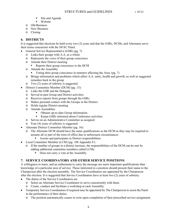- Site and Agenda
- Website
- o Old Business
- o New Business
- o Closing

#### <span id="page-4-0"></span>**6. DISTRICTS**

It is suggested that elections be held every two (2) years and that the GSRs, DCMs, and Alternates serve their terms concurrent with the NFAC Panel.

- General Service Representative (GSR) (pg. 7)
	- o Links their groups with A.A. as a whole
	- o Represents the voice of their group conscience
	- o Attends their District meeting
		- Reports their group conscience to the DCM
	- o Attends the Assembly
		- Voting their group conscience in manners affecting the Area. (pg. 7)
	- o Brings information and problems which affect A.A. unity, health and growth, as well as suggested remedies back to the group
	- o Two (2) years of sobriety is suggested.
- District Committee Member (DCM) (pg. 13):
	- o Links the GSR and the Delegate
	- o Served in past Group and District activities
	- o Receives reports from groups through the GSRs
	- o Makes personal contact with the Groups in the District.
	- o Holds regular District meeting
	- o Attends Assemblies
		- Obtains up-to-date Group information
		- Keeps GSRs informed about Conference activities.
	- o Serves on an Administrative Committee as assigned.
	- o Four (4) years of sobriety is suggested
- Alternate District Committee Member (pg. 16):
	- o The Alternate DCM should have the same qualifications as the DCM as they may be required to assume all or part of the term of office due to unforeseen circumstances
		- Assists and participates in District responsibilities
- Local Committee Member (LCM) (pg. 108 Appendix F):
	- o If the number of groups in a district increase, the responsibilities of the DCM can be met by adding additional committee members called LCMs.
		- Does not carry a vote at the Assembly.

#### <span id="page-4-1"></span>**7. SERVICE COORDINATORS AND OTHER SERVICE POSITIONS**

A willingness to learn, and an enthusiasm to carry the message are more important qualifications than knowledge of a particular area of service. Those interested in a position should present their name to the Chairperson after the election assembly. The Service Coordinators are appointed by the Chairperson after the election. It is suggested that Service Coordinators have at least two (2) years of sobriety.

- The duties of the Service Coordinators are
	- o Select an Alternate Service Coordinator to serve concurrently with them.
	- o Create, conduct and facilitate a workshop at each Assembly.
- Temporary Service Coordinators if required may be appointed by The Chairperson to assist the Panel in the performance of their duties.
	- o The position automatically ceases to exist upon completion of their prescribed service assignment.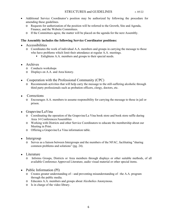- Additional Service Coordinator's position may be authorized by following the procedure for amending these guidelines.
	- o Requests for authorization of the position will be referred to the Growth, Site and Agenda, Finance, and the Website Committees.
	- o If the Committees agree, the matter will be placed on the agenda for the next Assembly.

#### **The Assembly includes the following Service Coordinator positions:**

- <span id="page-5-0"></span>• Accessibilities
	- o Coordinates the work of individual A.A. members and groups in carrying the message to those who have problems which limit their attendance at regular A.A. meetings.
		- Enlightens A.A. members and groups to their special needs.
- <span id="page-5-1"></span>• Archives
	- o Conducts workshops
	- o Displays on A.A. and Area history.
- <span id="page-5-2"></span>• Cooperation with the Professional Community (CPC)
	- o Recommends activities that will help carry the message to the still-suffering alcoholic through third party professionals such as probation officers, clergy, doctors, etc.
- <span id="page-5-3"></span>• Corrections
	- o Encourages A.A. members to assume responsibility for carrying the message to those in jail or prison.
- <span id="page-5-4"></span>• Grapevine/LaVina
	- o Coordinating the operation of the Grapevine/La Vina book store and book store raffle during Area 14 Conferences/Assemblies
	- o Working with Districts and other Service Coordinators to educate the membership about our Meeting in Print.
	- o Offering a Grapevine/La Vina information table.
- <span id="page-5-5"></span>• Intergroup
	- o Serves as a liaison between Intergroups and the members of the NFAC, facilitating "sharing common problems and solutions" (pg. 24).
- <span id="page-5-6"></span>• Literature
	- o Informs Groups, Districts or Area members through displays or other suitable methods, of all available Conference Approved Literature, audio visual material or other special items.
- <span id="page-5-7"></span>• Public Information (PI)
	- o Creates greater understanding of—and preventing misunderstanding of –the A.A. program through the public media.
	- o Educates A.A. members and groups about Alcoholics Anonymous.
	- o Is in charge of the video library.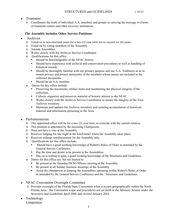#### <span id="page-6-0"></span>• Treatment

o Coordinates the work of individual A.A. members and groups in carrying the message to clients of treatment centers and other recovery institutions.

#### <span id="page-6-1"></span>**The Assembly includes Other Service Positions:**

- Archivist
	- o Voted on in non-electoral years for a two (2) year term not to exceed six (6) years.
	- o Voted on by voting members of the Assembly.
	- o Attends Assemblies
	- o Works closely with the Archives Service Coordinator
	- o Qualifications for this office:
		- Should be knowledgeable of the NFAC history.
		- Should have experience with archival and conservation procedures as well as handling of historical records.
		- **•** Should be thoroughly familiar with our primary purpose and our A.A. Traditions so as to ensure privacy and protect anonymity of the members whose names are included in the collected documents.
		- Should be an A.A. member.
	- o Duties for this office include:
		- **•** Preserving the documents, artifact items and maintaining the physical integrity of the collection.
		- Collects, organizes and preserves material of historic interest to the NFAC.
		- Works closely with the Archives Service Coordinator to ensure the integrity of the Area Archives inventory.
		- Maintains and updates the Archives inventory and assisting accumulation of historical material and information pertaining to the Area.

#### <span id="page-6-2"></span>• Parliamentarian

- o This appointed office will be for a two (2) year term, to coincide with the current rotation.
- o This position is appointed by the incoming Chairperson.
- o Does not have a vote at the Assembly
- o Receives lodging for one night at the hotel/motel where the Assembly takes place
- o Receives mileage reimbursement for the Assembly only.
- o Qualifications for this office include:
	- Should have a good working knowledge of Robert's Rules of Order as amended by the General Service Conference.
	- Has the time and desire to be present at the Assemblies.
	- Has, or is willing to gain, a good working knowledge of the Structures and Guidelines.
- o Duties for this office are, but not limited to:
	- Be present at the Saturday/DCM Officers meeting at the Assembly.
	- Be present at all Sunday business meetings of the Assembly.
	- Assist the chairperson in keeping the Assemblies operating within Robert's Rules of Order as amended by the General Service Conference and the Structures and Guidelines.
- <span id="page-6-3"></span>• NFAC Convention Oversight Committee
	- o Provides oversight of the Florida State Convention when it occurs geographically within the North Florida Area. *The Convention scope and procedures are set forth in the Advisory Actions under the Structures and Guidelines April 2006 and revised January 2014.*
- <span id="page-6-4"></span>• Technology Composition: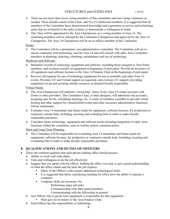#### STRUCTURES and GUIDELINES r. 05/22

- o There are not more than seven voting members of this committee and non-voting volunteers as needed. These should consist of the Chair, and five (5) additional members. It is suggested that all members of the Committee have demonstrated knowledge and experience in service and technology areas that are of benefit to the tasks at hand, or demonstrate a willingness to learn.
- o The Chair will be appointed by the Area Chairperson, as a voting member of Area 14. The remaining members will be selected by the Committee Chairperson and approved by the Area 14 Chairperson. The Area 14 Chairperson will be an ex-officio member of the Committee.

#### Scope:

o The Committee will be a permanent, non-administrative committee. The Committee will act to ensure continuity with technology used by Area 14 and will consult with other Area Committee members in planning, selecting, obtaining, maintenance and use of technology.

Hardware and Software:

- o Maintains records of technology equipment and software, including those assigned to Area Panel members, and oversees transfer of equipment at beginning of each panel. Provide an inventory of all equipment and software licenses to the Area 14 Finance Chair at the beginning of each panel.
- o Receives all requests for use of technology equipment for use at assembly and other Area 14 events. Provides AV and Virtual support as requested, and oversees AV support, providing equipment set-up and securing outside resources as deemed fiscally responsible.

#### Virtual Needs:

- o The Area Chairperson will maintain "ownership" status of any Area 14 virtual accounts with Zoom or other providers. The Committee Chair, or their designee, will administer the accounts, assigning user levels, scheduling meetings, etc. A roster of members available to provide virtual hosting and other support for virtual/hybrid events and other necessary administrative functions will be maintained.
- o Evaluates Area 14 immediate and future needs for equipment, software licenses, for production or contractor outside help, including, securing and evaluating bids in order to make fiscally responsible purchases.
- o Considers future technology, equipment and software needs including integration of other Area functions within the committee, such as website and/or communications.

#### Short and Long-Term Planning:

o The Committee will be responsible for evaluating Area 14 immediate and future needs for equipment, software licenses, for production or contractor outside help. Including, securing and evaluating bids in order to make fiscally responsible purchases.

#### <span id="page-7-0"></span>**8. QUALIFICATIONS AND DUTIES OF OFFICERS**

- These are common qualities that each person seeking office should possess:
	- o Ability to work well with others
	- o Time and willingness to do the job effectively:
	- o Suggest that you speak with the officer, holding the office you seek, to get a good understanding of what the office entails and the time the job requires.
		- Many of the Officer's jobs require additional technological skills.
		- It is suggested that those considering standing for office have the ability to operate a computer.
		- Computer skills are necessary for:
			- Performing many job tasks
			- Communicating with other panel members
			- Communicating with the fellowship in general.
	- o Any Officer who is given Area equipment is responsible for that equipment
		- Must give an inventory to the Area Finance Chair.
	- o Each Officer has the responsibility of submitting: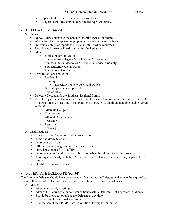- Reports to the Secretary after each Assembly
- Budgets to the Treasurer on or before the April Assembly.
- <span id="page-8-0"></span>• DELEGATE  $(pg. 34-38)$ 
	- o Duties:
		- NFAC Representative to the annual General Service Conference.
		- Works with the Chairperson in preparing the agenda for Assemblies.
		- **•** Delivers Conference reports to District meetings when requested
		- Participates in Area or District activities if called upon.
		- Attends:
			- Florida State Convention
			- Southeastern Delegates "Get Together" in Atlanta.
			- Southern States Alcoholics Anonymous Service Assembly
			- Southeastern Regional Forum
			- International Convention
		- Provides or Participates in:
			- Leadership
				- Training
					- Especially for new GSRs and DCMs,
			- Workshops whenever possible.
			- Service talks
		- **•** Delegate Elect attends the Southeast Regional Forum
		- If the Delegate is unable to attend the General Service Conference the elected Officers, in the following order will assume this duty as long as otherwise qualified including having served as DCM:
			- Alternate Delegate
			- Chairperson
			- Alternate Chairperson
			- Treasurer
			- Registrar
			- Secretary
	- o Qualifications:
		- Suggested 5 or 6 years of continuous sobriety
		- Time and desire to serve
		- Must be a past DCM
		- **•** Offer and accept suggestions as well as criticisms
		- Have knowledge of A.A. affairs
		- Must be able to find the correct information when they do not know the answers
		- **•** Thorough familiarity with the 12 Traditions and 12 Concepts and how they apply to local needs
		- Be able to organize and lead

#### <span id="page-8-1"></span>• ALTERNATE DELEGATE (pg. 34)

The Alternate Delegate should have the same qualifications as the Delegate as they may be required to assume all or part of the Delegate's term of office due to unforeseen circumstances.

- o Duties:
	- Attends Assembly meetings
	- Attends the February mini-conference Southeastern Delegate "Get Together" in Atlanta
	- Should be prepared to replace the Delegate at any time.
	- Chairperson of the Growth Committee
	- Chairperson of the Florida State Convention Oversight Committee.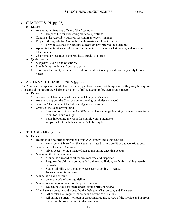#### <span id="page-9-0"></span>• CHAIRPERSON (pg. 26)

- o Duties:
	- Acts as administrative officer of the Assembly
		- Responsible for overseeing all Area operations.
	- Conducts the Assembly business session in an orderly manner
	- **•** Prepares the agenda for Assemblies with assistance of the Officers Provides agenda to Secretary at least 30 days prior to the assembly,
	- **EXECT** Appoints the Service Coordinators, Parliamentarian, Finance Chairperson, and Website Chairperson
	- Chairperson Elect attends the Southeast Regional Forum
- o Qualifications:
	- Suggested 3 to 5 years of sobriety
	- Should have the time and desire to serve
	- **•** Thorough familiarity with the 12 Traditions and 12 Concepts and how they apply to local needs

#### <span id="page-9-1"></span>• ALTERNATE CHAIRPERSON (pg. 29)

The Alternate Chairperson should have the same qualifications as the Chairperson as they may be required to assume all or part of the Chairperson's term of office due to unforeseen circumstances.

- o Duties:
	- Assume the Chairperson's duties in the Chairperson's absence
	- Assist and support the Chairperson in carrying out duties as needed
	- Serve as Chairperson of the Site and Agenda Committee
	- Oversees the Scholarship Fund
		- Serve as contact person for DCM's that have an eligible voting member requesting a room for Saturday night
		- helps in booking the room for eligible voting members
		- keeps track of the balance in the Scholarship Fund
- <span id="page-9-2"></span>• TREASURER (pg. 28)
	- o Duties:
		- Receives and records contributions from A.A. groups and other sources
			- An Excel database from the Registrar is used to help credit Group Contributions.
		- Serves on the Finance Committee
			- Gives access to the Finance Chair to the online checking account
		- Managing the Area's monies
			- Maintains a record of all monies received and dispersed.
			- Requires the ability to do monthly bank reconciliation, preferably making weekly deposits,
			- Settles all bills with the hotel where each assembly is located
			- Issues checks for expenses.
		- Maintains a bank account
			- be aware of the banks guideline
		- Maintains a savings account for the prudent reserve.
			- Researches the best interest rates for the prudent reserve.
		- Must have a signature card signed by the Delegate, Chairperson, and Treasurer
			- All checks shall require the signature of two of the above
			- All online payments, written or electronic, require review of the invoice and approval by two of the signors prior to disbursement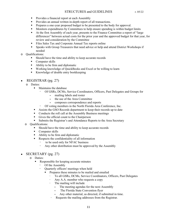- **•** Provides a financial report at each Assembly
- Provides an annual written in-depth report of all transactions.
- **•** Prepares a one-year proposed budget to be presented to the body for approval.
- **•** Monitors expenditures by Committees to help ensure spending is within budget limits
- At the first Assembly of each year, presents to the Finance Committee a report of "large differences" between actual costs for the prior year and the approved budget for that year, for review and consideration by the Committee
- Files Sales Tax and Corporate Annual Tax reports online
- Speaks with Group Treasurers that need advice or help and attend District Workshops if needed
- o Qualifications:
	- Should have the time and ability to keep accurate records
	- Computer skills
	- Ability to be firm and diplomatic
	- Working knowledge of QuickBooks and Excel or be willing to learn
	- Knowledge of double entry bookkeeping

#### • REGISTRAR (pg. 27)

- <span id="page-10-0"></span>o Duties:
	- Maintains the database
		- Of GSRs, DCMs, Service Coordinators, Officers, Past Delegates and Groups for
			- mailing labels and roster
			- the use of the Area Committee
			- composes correspondence and reports
		- Of voting members in the North Florida Area Conference, Inc.
	- Assists the GSO Records department to keep their records up to date
	- Conducts the roll call at the Assembly Business meetings
	- Gives the official count to the Chairperson
	- Submits the Registrar's and Attendance Reports to the Area Secretary
- o Qualifications:
	- Should have the time and ability to keep accurate records
	- Computer skills
	- Ability to be firm and diplomatic
	- Respects the confidentiality of all information
		- to be used only for NFAC business
			- Any other distribution must be approved by the Assembly

#### <span id="page-10-1"></span>• SECRETARY (pg. 27)

- o Duties:
	- Responsible for keeping accurate minutes
		- Of the Assembly
		- Quarterly officers' meetings when held
			- Prepares these minutes to be mailed and emailed
				- To all GSRs, DCMs, Service Coordinators, Officers, Past Delegates
				- Any A.A. member who requests a copy
				- The mailing will include
					- The meeting agendas for the next Assembly
					- The Florida State Convention flyer
					- Any other material, as directed, if submitted in time.
				- Requests the mailing addresses from the Registrar.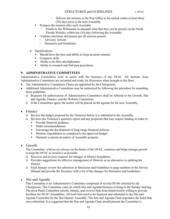- Delivers the minutes to the Post Office to be mailed within at least thirty (30) days prior to the next Assembly.
- **•** Prepares the motions after each Assembly
	- Emails to the Webmaster in adequate time that they can be posted, on the North Florida Website, within ten (10) days following the Assembly.
- **·** Updates electronic documents per all motions passed:
	- Advisory Actions
	- Structures and Guidelines
- o Qualifications:
	- Should have the time and ability to keep accurate minutes
	- Computer skills
	- Ability to be firm and diplomatic
	- Ability to research and find past procedures

#### <span id="page-11-0"></span>**9. ADMINISTRATIVE COMMITTEES**

Administrative Committees exist to assist with the business of the NFAC. All motions from Administrative Committees are seconded and ready for discussion when brought to the floor.

- The Administrative Committees Chairs are appointed by the Chairperson.
- Additional Administrative Committees may be authorized by following the procedure for amending these guidelines.
	- o Requests for authorization of Administrative Committees shall be referred to the Growth, Site and Agenda, Finance, and the Website Committees.
	- o If the Committees agree, the matter will be placed on the agenda for the next Assembly.

#### <span id="page-11-1"></span>• Finance

- o Review the budget prepared by the Treasurer before it is submitted to the Assembly.
- o Reviews the Treasurer's quarterly report and any proposals that may require funding in order to:
	- Provide financial guidance.
	- Make recommendations.
	- Encourage the development of long-range financial policies.
	- Monitor expenditures as compared to the approved budget.
	- Maintain a current inventory of Assembly property.
- <span id="page-11-2"></span>• Growth

The Committee, with an eye always on the future of the NFAC, monitors and helps manage growth to keep the NFAC as inclusive as possible.

- o Receives and reviews requests for changes in District boundaries
- o Provides suggestions for effective management of Districts as an alternative to splitting the District.
- o Each January review the references in Structures and Guidelines to page numbers in the Service Manual and provide the Secretary with a list of the changes for Structures and Guidelines.
- <span id="page-11-3"></span>• Site and Agenda

This Committee is an Administrative Committee comprised of several DCMs selected by the Chairperson. The Committee votes on which Site and Agenda business to bring to the Sunday meeting. The prior Panel Committee solicits, obtains, and reviews bids from hotels/motels willing to provide facilities for NFAC Assemblies. All hotel bids need to be finalized and submitted to the Site and Agenda Committee by the first Quarter Assembly. The Site and Agenda Chair negotiates the hotel bids once submitted. It is suggested that the Site and Agenda Chair should present the Committee's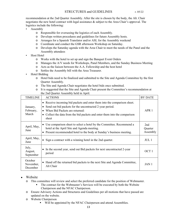recommendation at the 2nd Quarter Assembly. After the site is chosen by the body, the Alt. Chair negotiates the new hotel contract with legal assistance & subject to the Area Chair's approval. The logistics include the following:

- **Assembly** 
	- o Responsible for overseeing the logistics of each Assembly.
	- o Develops written procedures and guidelines for future Assembly hosts.
	- o Arranges for a Spanish Translator and/or ASL for the Assembly weekend
	- o Coordinate and conduct the GSR afternoon Workshop on Saturday.
	- o Develops the Saturday agenda with the Area Chair to meet the needs of the Panel and the Assembly attendees
- Host Hotel
	- o Works with the hotel to set up and sign the Banquet Event Orders
	- o Manages the A/V needs for Workshops, Panel Members, and the Sunday Business Meeting
	- o Acts as the liaison between the A.A. Fellowship and the host hotel
	- o Settles the Assembly bill with the Area Treasurer.
- Hotel Bidding
	- o Hotel bids need to be finalized and submitted to the Site and Agenda Committee by the first Quarter Assembly.
	- o The Site and Agenda Chair negotiates the hotel bids once submitted.
	- o It is suggested that the Site and Agenda Chair present the Committee's recommendation at the 2nd Quarter Assembly held in April.

| <b>TIMELINE</b>                  | <b>ACTIONS</b>                                                                                                                                                                                                                                                               | <b>BY DATE</b>             |
|----------------------------------|------------------------------------------------------------------------------------------------------------------------------------------------------------------------------------------------------------------------------------------------------------------------------|----------------------------|
| January,<br>February,<br>March   | • Receive incoming bid packets and enter them into the comparison sheet.<br>Send out bid packets for the uncontracted 2-year period.<br>$\bullet$<br>• When Bid Packets are returned:<br>• Collect the data from the bid packets and enter them into the comparison<br>sheet | APR <sub>1</sub>           |
| April, May,<br>June              | • Use comparison sheet to select a hotel by the Committee. Recommend a<br>hotel at the April Site and Agenda meeting.<br>• Present recommended hotel to the body at Sunday's business meeting.                                                                               | 2nd<br>Quarter<br>Assembly |
| April, May,<br>June              | • Sign a contract with a winning hotel in the 2nd quarter.                                                                                                                                                                                                                   | JUL <sub>1</sub>           |
| July,<br>August,<br>September    | In the second year, send out Bid packets for next uncontracted 2-year<br>$\bullet$<br>period                                                                                                                                                                                 | OCT <sub>1</sub>           |
| October<br>November,<br>December | • Hand off the returned bid packets to the next Site and Agenda Committee,<br>Alt Chair                                                                                                                                                                                      | JAN <sub>1</sub>           |

- <span id="page-12-0"></span>• Website
	- o This committee will review and select the preferred candidate for the position of Webmaster.
		- The contract for the Webmaster's Services will be executed by both the Website Chairperson and the NFAC Chairperson.
	- o Ensure Advisory Actions and Structures and Guidelines per all motions that have passed are updated on the website.
	- o Website Chairperson
		- Will be appointed by the NFAC Chairperson and attend Assemblies.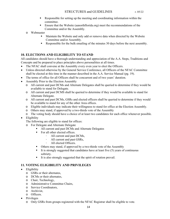- Responsible for setting up the meeting and coordinating information within the committee.
- Ensure that the Website (aanorthflorida.org) meet the recommendations of the Committee and/or the Assembly.
- o Webmaster
	- Maintain the Website and only add or remove data when directed by the Website Committee and/or Assembly.
	- Responsible for the bulk emailing of the minutes 30 days before the next assembly.

#### <span id="page-13-0"></span>**10. ELECTIONS AND ELIGIBILITY TO STAND**

All candidates should have a thorough understanding and appreciation of the A.A. Steps, Traditions and Concepts and be prepared to place principles above personalities at all times.

- The NFAC shall convene at the Assembly every even year to elect the Officers.
- Unless directed otherwise by the General Service Conference, all Officers of the NFAC Committee shall be elected at this time in the manner described in the A.A. Service Manual (pg. 19).
- The terms of office for all Officers shall be concurrent and of two years' duration.
- Assembly Prior to the Election Assembly
	- o All current and past DCMs and Alternate Delegates shall be queried to determine if they would be available to stand for Delegate.
	- o All current and past DCMS shall be queried to determine if they would be available to stand for Alternate Delegate.
	- o All current and past DCMs, GSRs and elected officers shall be queried to determine if they would be available to stand for any of the other Area offices.
	- o Eligible individuals may indicate their willingness to stand for office at the Election Assembly.
	- o Others may stand, if approved by a two-thirds vote of the Assembly
	- o The voting body should have a choice of at least two candidates for each office whenever possible.

• Eligibility

The following are eligible to stand for offices:

- o For Delegate and Alternate Delegate
	- All current and past DCMs and Alternate Delegates
	- **•** For all other elected offices.
		- All current and past DCMs,
		- All current and past GSRs,
			- All elected Officers.
	- Others may stand, if approved by a two-thirds vote of the Assembly
	- It is strongly suggested that candidates have at least five (5) years of continuous sobriety.
	- It is also strongly suggested that the spirit of rotation prevail.

#### <span id="page-13-1"></span>**11. VOTING ELIGIBILITY AND PRIVILEGES**

- Eligibility
	- o GSRs or their alternates,
	- o DCMs or their alternates,
	- o Chair, Technology,
	- o Administrative Committee Chairs,
	- o Service Coordinators,
	- o Archivist,
	- o Officers.
- Privileges
	- o Only GSRs from groups registered with the NFAC Registrar shall be eligible to vote.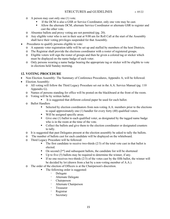- o A person may cast only one (1) vote.
	- If the DCM is also a GSR or Service Coordinator, only one vote may be cast.
	- Allow the alternate DCM, alternate Service Coordinator or alternate GSR to register and cast the other vote.
- o Absentee ballots and proxy voting are not permitted (pg. 20).
- o Any eligible voter who is not in their seat at 9:00 am for Roll Call at the start of the Assembly shall have their voting privileges suspended for that Assembly.
- Procedures to qualify persons eligible to vote:
	- o A separate voter registration table will be set up and staffed by members of the host Districts.
	- o The Registrar shall provide the elections coordinator with a roster of registered groups.
	- o Eligible voters will sign the roster of groups and then be given a colored tag or sticker which must be displayed on the name badge of each voter.
	- o Only persons wearing a name badge bearing the appropriate tag or sticker will be eligible to vote in elections held Sunday morning.

#### <span id="page-14-0"></span>**12. VOTING PROCEDURE**

- Non Election Assembly: The Summary of Conference Procedures, Appendix A, will be followed.
- Election Assembly:
	- o All voting will follow the Third Legacy Procedure set out in the A.A. Service Manual (pg. 110 Appendix G).
	- o Names of persons standing for office will be posted on the blackboard at the front of the room.
	- o Voting will be by written ballot.
		- It is suggested that different colored paper be used for each ballot.
	- o Ballot Handlers
		- Selected by election coordinators from non-voting A.A. members prior to the elections to equal approximately one (1) handler for every forty (40) qualified voters.
		- Will be assigned specific areas.
		- Give one (1) ballot to each qualified voter, as designated by the tagged name badge who is in the room at the time of the vote.
		- Collect the ballots and give them to the election coordinator or designated counters to tally.
	- o It is suggested that past Delegates present at the election assembly be asked to tally the ballots.
	- o The number of ballots cast for each candidate will be displayed on the whiteboard.
	- o Third Legacy Procedure will be followed:
		- $\blacksquare$  The first candidate to receive two-thirds (2/3) of the total vote cast in that ballot is elected.
		- **•** On second  $(2^{nd})$  and subsequent ballots, the candidate list will be shortened
		- $\blacksquare$  Up to five (5) ballots may be required to determine the winner, if any.
		- If no one receives two-thirds  $(2/3)$  of the votes cast by the fifth ballot, the winner will be decided by lot (drawn from a hat by a non-voting member of A.A.).
	- o The order of the election of Officers is at the Chairperson's discretion.
		- The following order is suggested:
			- Delegate
			- Alternate Delegate
			- Chairperson
			- Alternate Chairperson
			- Treasurer
			- Registrar
			- Secretary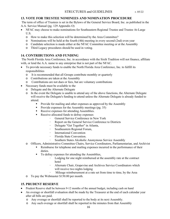#### <span id="page-15-0"></span>**13. VOTE FOR TRUSTEE NOMINEES AND NOMINATION PROCEDURE**

The term of office of Trustees is set in the Bylaws of the General Service Board, Inc. as published in the A.A. Service Manual (pg. 129 Appendix O)

- NFAC may choose to make nominations for Southeastern Regional Trustee and Trustee At-Large U.S.
	- o How to make this selection will be determined by the Area Committee?
	- o Nominations will be held at the fourth (4th) meeting in every second (2nd) even year
	- o Candidate selection is made either at the NFAC Committee meeting or at the Assembly
	- o Third Legacy procedures should be used in voting.

#### <span id="page-15-1"></span>**14. CONTRIBUTIONS AND FUNDING**

The North Florida Area Conference, Inc. in accordance with the Sixth Tradition will not finance, affiliate with, or lend the A.A. name to any enterprise that is not part of the NFAC.

- To provide necessary funds to enable the North Florida Area Conference, Inc. to fulfill its responsibilities
	- o It is recommended that all Groups contribute monthly or quarterly
	- o Contributions are taken at the Assembly
	- o Contributions are not dues or fees, but are voluntary contributions
- Necessary funds must be available to the
	- o Delegate and the Alternate Delegate
	- o In the event the Delegate is unable to attend any of the above functions, the Alternate Delegate will receive the Delegate's funding to attend unless the Alternate Delegate is already funded to attend.
		- **•** Provide for mailing and other expenses as approved by the Assembly
		- Provide expenses for the Assembly meetings (pg. 35)
		- Receive expenses for attending Assemblies.
		- Receive allocated funds to defray expenses
			- General Service Conference in New York
			- Report on the General Service Conference to Districts
			- Delegate "Get Together" in Atlanta,
			- Southeastern Regional Forum,
			- International Convention
			- Florida State Convention.
			- Southern States Alcoholic Anonymous Service Assembly
	- o Officers, Administrative Committee Chairs, Service Coordinators, Parliamentarian, and Archivist
		- **EXECUTE:** Reimburse for telephone and mailing expenses incurred in the performance of their duties.
		- To defray expenses for attending the Assemblies,
			- Lodging for one night reimbursed at the assembly rate at the contract hotel
			- Alternate Chair, Grapevine and Archives Service Coordinators which will receive two nights lodging
		- Mileage reimbursement at a rate set from time to time, by the Area
	- o To pay the Webmaster \$150.00 per month.

#### <span id="page-15-2"></span>**15. PRUDENT RESERVE**

- Prudent Reserve shall be between 9-12 months of the annual budget, including cash on hand
- An overage or shortfall evaluation shall be made by the Treasurer at the end of each calendar year after all bills are paid.
	- o Any overage or shortfall shall be reported to the body at its next Assembly.
	- o Any such overage or shortfall shall be reported in the minutes from that Assembly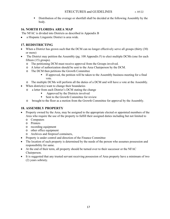**EXECUTE:** Distribution of the overage or shortfall shall be decided at the following Assembly by the body.

#### <span id="page-16-0"></span>**16. NORTH FLORIDA AREA MAP**

The NFAC is divided into Districts as described in Appendix B

• a Hispanic Linguistic District is area wide.

#### <span id="page-16-1"></span>**17. REDISTRICTING**

- When a District has grown such that the DCM can no longer effectively serve all groups (thirty (30) or more)
- The District may petition the Assembly (pg. 108 Appendix F) to elect multiple DCMs (one for each fifteen (15) groups).
	- o The petitioning DCM must receive approval from the Groups involved.
	- o A letter of authorization should be sent to the Area Chairperson by the DCM.
	- o The DCM then petitions the Growth Committee
		- **•** If approved, the petition will be taken to the Assembly business meeting for a final vote.
- o The multiple DCMs will perform all the duties of a DCM and will have a vote at the Assembly.
- When district(s) want to change their boundaries
	- o a letter from each District's DCM stating the change
		- Approved by the Districts involved
		- Sent to the Growth Committee for review
	- o brought to the floor as a motion from the Growth Committee for approval by the Assembly.

#### <span id="page-16-2"></span>**18. ASSEMBLY PROPERTY**

- Property owned by the Area, may be assigned to the appropriate elected or appointed members of the Area who require the use of the property to fulfill their assigned duties including but not limited to
	- o Computers
	- o Printers
	- o recording equipment
	- o other office equipment
	- o Archives and fireproof containers,
- Property is under control and direction of the Finance Committee
- The location of such property is determined by the needs of the person who assumes possession and responsibility for same.
- At the end of their term, all property should be turned over to their successor or the NFAC Chairperson.
- It is suggested that any trusted servant receiving possession of Area property have a minimum of two (2) years sobriety.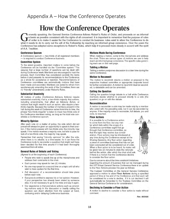### <span id="page-17-0"></span>Appendix A – How the Conference Operates

## **How the Conference Operates**

enerally speaking, the General Service Conference follows Robert's Rules of Order, and proceeds on as informal The energy speaking, the General Service Conference follows *Hobert's Hules of Order*, and proceeds on as informal<br>a basis as possible consistent with the rights of all concerned. It is important to remember that the purpo of order is to make it easier for the Conference to conduct its business; rules exist to allow the Conference to do what it needs to do to carry out the will of the Fellowship by reaching an informed group conscience. Over the years the Conference has adopted some exceptions to Robert's Rules, which help it to proceed more closely in accord with the spirit of A.A. Tradition.

#### **Conference Quorum**

A Conference quorum - two-thirds of all registered members - is required to conduct Conference business.

#### **Committee System**

To the extent possible, important matters to come before the Conference will be handled via the "Committee system." This assures that a large number of questions can be dealt with during Conference week. Members are encouraged to trust the process. Each Committee has considered carefully the items before it and presents its recommendations to the Conference as a whole for acceptance or rejection. Recommendations of Conference committees are automatically motions that have been made and seconded. Members are asked to refrain from spontaneously amending the work of the Committee; there are no "friendly" amendments under Robert's Rules.

#### **Substantial Unanimity**

All matters of policy (Conference Advisory Actions) require substantial unanimity, that is, a two-thirds majority. Any actions, including amendments, that affect an Advisory Action, or motions that might result in such an action, also require a twothirds majority. Because the number of members present in the hall during the week of Conference varies from time to time, the phrase "two-thirds majority" is taken to mean two-thirds vote of the Conference members voting, as long as the total vote constitutes a Conference quorum.

#### **Minority Opinion**

After each vote on a matter of policy, the side which did not prevail will always be given an opportunity to speak to their position. If the motion passes with two-thirds vote, the minority may speak. If the motion receives a majority vote, but fails to pass for lack of a two-thirds vote, the majority may speak.

Remember that saving "minority opinions" for after the vote, when there is no rebuttal, is a time-waster, for it can force the Conference body to reconsider a question that might well have been decided the first time around if it had been thoroughly examined from all sides

#### **General Rules of Debate and Voting**

(Agreed to at the beginning of each Conference)

- People who wish to speak line up at the microphones and address their comments to the chair.
- ۰ Each person may speak for two (2) minutes.
- No one may speak for a second time on a topic until all who wish to have spoken for the first time.
- Full discussion of a recommendation should take place ۰ before each vote.
- Everyone is entitled to express his or her opinion. However, ٠ if your perspective has already been stated by someone else, it is not necessary to go to the mike and say it again.
- Our experience is that premature actions such as amending motions early in the discussion or hastily calling the question can divert attention from the subject at hand, confusing and/or delaying Conference business.

#### **Motions Made During Conference**

When making a motion, come to the microphone and address the chair. There are various types of motions we use to help reach an informed group conscience. The specific rules governing each are on the next page.

#### **Tabling a Motion**

Tabling a motion postpones discussion to a later time during the same Conference.

#### **Motion to Recommit**

The motion to recommit returns a motion or proposal to the respective trustees' committee or appropriate corporate board for further consideration. A motion to recommit must be seconded, is debatable and can be amended.

#### **Calling the Question**

Calling the question brings debate to a halt while Conference members decide whether to proceed directly to a vote (the question) or go on with the debate.

#### **Reconsideration**

A motion to reconsider a vote may be made only by a member who voted with the prevailing side, but it can be seconded by anyone. If the majority votes to reconsider, full debate, pro and cons, is resumed.

#### **Floor Actions**

It is possible for a Conference action to come from the floor, but any matter which falls within the scope of a Conference committee ought first go through that Conference committee, so that the topic may receive due consideration. Floor actions may be introduced at any time during the Conference except at the Sharing Sessions. Any floor action regarding a piece of committee business that has not yet been concluded will be considered out of order. When a floor action is to be heard, its maker will be given two (2) minutes to state the rationale behind the action, after which the chair shall ask if there is a motion that the Conference decline to consider the floor action.



Due to concerns about the time constraint limitations regarding the amount of business that can be managed during the 70th Virtual General Service Conference there is an update to the Floor Actions process this year as follows:

The trustees' Committee on the General Service Conference approved a motion to allow Floor Actions during a specified period of time at the end of the Conference and that each will be considered for a vote to decline. If it is not declined it will automatically be forwarded to the Trustees Committee on the General Service Conference for consideration.

#### **Declining to Consider a Floor Action**

A motion to decline to consider a floor action is made without comment.

Rev. 05/2020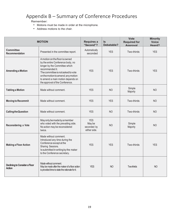## <span id="page-18-0"></span>Appendix B – Summary of Conference Procedures

Remember:

- Motions must be made in order at the microphone.
- Address motions to the chair.

|                                                       | <b>MOTION</b>                                                                                                                                                                                                                                                               | <b>Requires a</b><br>"Second"?                      | <b>Is</b><br>Debatable? | <b>Vote</b><br><b>Required for</b><br><b>Annroval</b> | <b>Minority</b><br><b>Voice</b><br>Heard? |
|-------------------------------------------------------|-----------------------------------------------------------------------------------------------------------------------------------------------------------------------------------------------------------------------------------------------------------------------------|-----------------------------------------------------|-------------------------|-------------------------------------------------------|-------------------------------------------|
| <b>Committee</b><br>Recommendation                    | Presented in the committee report.                                                                                                                                                                                                                                          | Automatically<br>seconded                           | <b>YES</b>              | Two-thirds                                            | <b>YES</b>                                |
| <b>Amending a Motion</b>                              | A motion on the floor is owned<br>by the entire Conference body, no<br>longer by the Committee which<br>recommended it.<br>The committee is not asked to vote<br>on the motion to amend; any motion<br>to amend a main motion depends on<br>the approval of the Conference. | <b>YES</b>                                          | <b>YES</b>              | Two-thirds                                            | <b>YES</b>                                |
| <b>Tabling a Motion</b>                               | Made without comment.                                                                                                                                                                                                                                                       | <b>YES</b>                                          | <b>NO</b>               | Simple<br>Majority                                    | <b>NO</b>                                 |
| <b>Moving to Recommit</b>                             | Made without comment.                                                                                                                                                                                                                                                       | <b>YES</b>                                          | <b>YES</b>              | Two-thirds                                            | <b>NO</b>                                 |
| <b>Calling the Question</b>                           | Made without comment.                                                                                                                                                                                                                                                       | <b>YES</b>                                          | <b>NO</b>               | Two-thirds                                            | <b>NO</b>                                 |
| Reconsidering a Vote                                  | Mayonly be made by a member<br>who voted with the prevailing side.<br>No action may be reconsidered<br>twice.                                                                                                                                                               | <b>YES</b><br>May be<br>seconded by<br>either side. | <b>NO</b>               | Simple<br>Majority                                    | <b>NO</b>                                 |
| <b>Making a Floor Action</b>                          | Made without comment.<br>Introduced any time during the<br>Conference except at the<br>Sharing Sessions.<br>Is submitted in writing by the maker<br>to the Conference secretary.                                                                                            | <b>YES</b>                                          | <b>YES</b>              | Two-thirds                                            | <b>YES</b>                                |
| <b>Declining to Consider a Floor</b><br><b>Action</b> | Made without comment.<br>May be made after the maker of a floor action<br>is provided time to state the rationale for it.                                                                                                                                                   | <b>YES</b>                                          | <b>NO</b>               | Two-thirds                                            | <b>NO</b>                                 |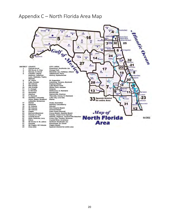## <span id="page-19-0"></span>Appendix C – North Florida Area Map

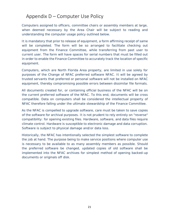## <span id="page-20-0"></span>Appendix D – Computer Use Policy

Computers assigned to officers, committee chairs or assembly members at large, when deemed necessary by the Area Chair will be subject to reading and understanding the computer usage policy outlined below.

It is mandatory that prior to release of equipment, a form affirming receipt of same will be completed. The form will be so arranged to facilitate checking out equipment from the Finance Committee, while transferring from past user to current user. The form will have spaces for serial numbers that must be filled out in order to enable the Finance Committee to accurately track the location of specific equipment.

Computers, which are North Florida Area property, are limited in use solely for purposes of the Change of NFAC preferred software NFAC. It will be agreed by trusted servants that preferred or personal software will not be installed on NFAC equipment, thereby compromising possible errors between dissimilar file formats.

All documents created for, or containing official business of the NFAC will be on the current preferred software of the NFAC. To this end, documents will be cross compatible. Data on computers shall be considered the intellectual property of NFAC therefore falling under the ultimate stewardship of the Finance Committee.

As the NFAC is compelled to upgrade software, care must be taken to save copies of the software for archival purposes. It is not prudent to rely entirely on "reverse" compatibility: for opening existing files. Hardware, software, and data files require climate control. Hardware is susceptible to electronic damage and data corruption. Software is subject to physical damage and/or data loss.

Historically, the NFAC has intentionally selected the simplest software to complete the job at hand. The purpose being to make service positions where computer use is necessary to be available to as many assembly members as possible. Should the preferred software be changed, updated copies of old software shall be implemented into the NFAC archives for simplest method of opening backed-up documents or originals off disk.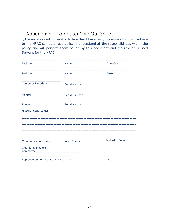## <span id="page-21-0"></span>Appendix E – Computer Sign Out Sheet

I, the undersigned do hereby declare that I have read, understood, and will adhere to the NFAC computer use policy. I understand all the responsibilities within the policy and will perform them bound by this document and the role of Trusted Servant for the NFAC.

| Position                    | Name          | Date Out               |
|-----------------------------|---------------|------------------------|
| Position                    | Name          | Date In                |
| <b>Computer Description</b> | Serial Number |                        |
| Monitor                     | Serial Number |                        |
| Printer                     | Serial Number |                        |
| Miscellaneous Items:        |               |                        |
|                             |               |                        |
| Maintenance Warranty        | Policy Number | <b>Expiration Date</b> |
| Cleared by Finance          |               |                        |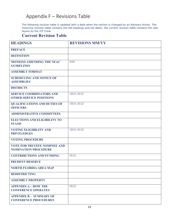## <span id="page-22-0"></span>Appendix F – Revisions Table

The following revision table is updated with a date when the section is changed by an Advisory Action. The historical revision table contains the old headings and old dates; the current revision table contains the new layout by the IFF Crew.

### **Current Revision Table**

| <b>HEADINGS</b>                                                    | <b>REVISIONS MM/YY</b> |
|--------------------------------------------------------------------|------------------------|
| <b>PREFACE</b>                                                     |                        |
| <b>DEFINITION</b>                                                  |                        |
| <b>MOTIONS AMENDING THE NFAC</b><br><b>GUIDELINES</b>              | 9/20                   |
| <b>ASSEMBLY FORMAT</b>                                             |                        |
| <b>SCHEDULING AND NOTICE OF</b><br><b>ASSEMBLIES</b>               |                        |
| <b>DISTRICTS</b>                                                   |                        |
| <b>SERVICE COORDINATORS AND</b><br><b>OTHER SERVICE POSITIONS</b>  | 10/21, 01/22           |
| <b>QUALIFICATIONS AND DUTIES OF</b><br><b>OFFICERS</b>             | 10/21, 01/22           |
| <b>ADMINISTRATIVE COMMITTEES</b>                                   |                        |
| <b>ELECTIONS AND ELIGIBILITY TO</b><br><b>STAND</b>                |                        |
| <b>VOTING ELIGIBILITY AND</b><br><b>PRIVELEDGES</b>                | 10/21, 01/22           |
| <b>VOTING PROCEDURE</b>                                            |                        |
| <b>VOTE FOR TRUSTEE NOMINEE AND</b><br><b>NOMINATION PROCEDURE</b> |                        |
| <b>CONTRIBUTIONS AND FUNDING</b>                                   | 01/21                  |
| <b>PRUDENT RESERVE</b>                                             |                        |
| <b>NORTH FLORIDA AREA MAP</b>                                      |                        |
| <b>REDISTRICTING</b>                                               |                        |
| <b>ASSEMBLY PROPERTY</b>                                           |                        |
| <b>APPENDIX A - HOW THE</b><br><b>CONFERENCE OPERATES</b>          | 05/22                  |
| <b>APPENDIX B - SUMMARY OF</b><br><b>CONFERENCE PROCEDURES</b>     |                        |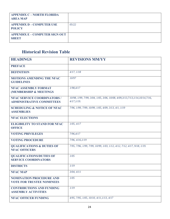| <b>APPENDIX C - NORTH FLORIDA</b><br><b>AREA MAP</b>  |        |
|-------------------------------------------------------|--------|
| <b>APPENDIX D – COMPUTER USE</b><br><b>POLICY</b>     | 0.5/22 |
| <b>APPENDIX E - COMPUTER SIGN OUT</b><br><b>SHEET</b> |        |

## **Historical Revision Table**

| <b>HEADINGS</b>                                                        | <b>REVISIONS MM/YY</b>                                                                          |
|------------------------------------------------------------------------|-------------------------------------------------------------------------------------------------|
| <b>PREFACE</b>                                                         |                                                                                                 |
| <b>DEFINITION</b>                                                      | 4/17, 1/18                                                                                      |
| <b>MOTIONS AMENDING THE NFAC</b><br><b>GUIDELINES</b>                  | 10/97                                                                                           |
| <b>NFAC ASSEMBLY FORMAT</b><br>(MEMBERSHIP & MEETINGS                  | 1/98, 4/17                                                                                      |
| <b>NFAC SERVICE COORDINATORS /</b><br><b>ADMINISTRATIVE COMMITTEES</b> | 10/98, 1/99, 7/99, 3/04, 1/05, 3/06, 10/08, 4/09, 3/13, 7/13, 1/14, 10/14, 7/16,<br>4/17, 1/19. |
| <b>SCHEDULING &amp; NOTICE OF NFAC</b><br><b>ASSEMBLIES</b>            | 7/96, 1/99, 7/99, 10/99, 1/05, 4/09, 3/13, 4/1, 1/19                                            |
| <b>NFAC ELECTIONS</b>                                                  |                                                                                                 |
| <b>ELIGIBILITY TO STAND FOR NFAC</b><br><b>OFFICE</b>                  | 1/05, 4/17                                                                                      |
| <b>VOTING PRIVILEGES</b>                                               | 7/96,4/17                                                                                       |
| <b>VOTING PROCEDURE</b>                                                | 7/96, 4/16, 1/19                                                                                |
| <b>QUALIFICATIONS &amp; DUTIES OF</b><br><b>NFAC OFFICERS</b>          | 7/95, 7/96, 1/99, 7/99, 10/99, 1/03, 1/12, 4/12, 7/12, 4/17, 9/18, 1/19.                        |
| <b>QUALIFICATIONS/DUTIES OF</b><br><b>SERVICE COORDINATORS</b>         | 1/05                                                                                            |
| <b>DISTRICTS</b>                                                       | 1/19                                                                                            |
| <b>NFAC MAP</b>                                                        | 3/04, 4/11                                                                                      |
| <b>NOMINATION PROCEDURE AND</b><br><b>VOTE FOR TRUSTEE NOMINEES</b>    | 1/05                                                                                            |
| <b>CONTRIBUTIONS AND FUNDING</b><br><b>ASSEMBLY ACTIVITIES</b>         | 1/19                                                                                            |
| <b>NFAC OFFICER FUNDING</b>                                            | 4/95, 7/95, 1/05, 10/10, 4/11, 1/13, 4/17                                                       |